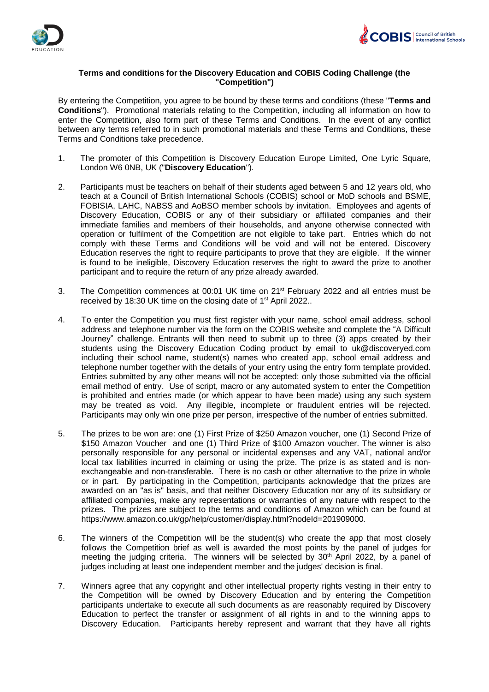



## **Terms and conditions for the Discovery Education and COBIS Coding Challenge (the "Competition")**

By entering the Competition, you agree to be bound by these terms and conditions (these "**Terms and Conditions**"). Promotional materials relating to the Competition, including all information on how to enter the Competition, also form part of these Terms and Conditions. In the event of any conflict between any terms referred to in such promotional materials and these Terms and Conditions, these Terms and Conditions take precedence.

- 1. The promoter of this Competition is Discovery Education Europe Limited, One Lyric Square, London W6 0NB, UK ("**Discovery Education**").
- 2. Participants must be teachers on behalf of their students aged between 5 and 12 years old, who teach at a Council of British International Schools (COBIS) school or MoD schools and BSME, FOBISIA, LAHC, NABSS and AoBSO member schools by invitation. Employees and agents of Discovery Education, COBIS or any of their subsidiary or affiliated companies and their immediate families and members of their households, and anyone otherwise connected with operation or fulfilment of the Competition are not eligible to take part. Entries which do not comply with these Terms and Conditions will be void and will not be entered. Discovery Education reserves the right to require participants to prove that they are eligible. If the winner is found to be ineligible, Discovery Education reserves the right to award the prize to another participant and to require the return of any prize already awarded.
- 3. The Competition commences at 00:01 UK time on 21st February 2022 and all entries must be received by 18:30 UK time on the closing date of 1<sup>st</sup> April 2022..
- 4. To enter the Competition you must first register with your name, school email address, school address and telephone number via the form on the COBIS website and complete the "A Difficult Journey" challenge. Entrants will then need to submit up to three (3) apps created by their students using the Discovery Education Coding product by email to uk@discoveryed.com including their school name, student(s) names who created app, school email address and telephone number together with the details of your entry using the entry form template provided. Entries submitted by any other means will not be accepted: only those submitted via the official email method of entry. Use of script, macro or any automated system to enter the Competition is prohibited and entries made (or which appear to have been made) using any such system may be treated as void. Any illegible, incomplete or fraudulent entries will be rejected. Participants may only win one prize per person, irrespective of the number of entries submitted.
- 5. The prizes to be won are: one (1) First Prize of \$250 Amazon voucher, one (1) Second Prize of \$150 Amazon Voucher and one (1) Third Prize of \$100 Amazon voucher. The winner is also personally responsible for any personal or incidental expenses and any VAT, national and/or local tax liabilities incurred in claiming or using the prize. The prize is as stated and is nonexchangeable and non-transferable. There is no cash or other alternative to the prize in whole or in part. By participating in the Competition, participants acknowledge that the prizes are awarded on an "as is" basis, and that neither Discovery Education nor any of its subsidiary or affiliated companies, make any representations or warranties of any nature with respect to the prizes. The prizes are subject to the terms and conditions of Amazon which can be found at https://www.amazon.co.uk/gp/help/customer/display.html?nodeId=201909000.
- 6. The winners of the Competition will be the student(s) who create the app that most closely follows the Competition brief as well is awarded the most points by the panel of judges for meeting the judging criteria. The winners will be selected by 30<sup>th</sup> April 2022, by a panel of judges including at least one independent member and the judges' decision is final.
- 7. Winners agree that any copyright and other intellectual property rights vesting in their entry to the Competition will be owned by Discovery Education and by entering the Competition participants undertake to execute all such documents as are reasonably required by Discovery Education to perfect the transfer or assignment of all rights in and to the winning apps to Discovery Education. Participants hereby represent and warrant that they have all rights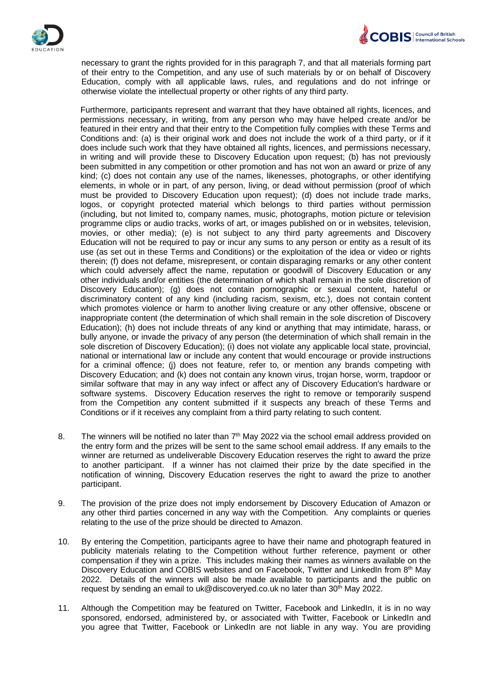



necessary to grant the rights provided for in this paragraph 7, and that all materials forming part of their entry to the Competition, and any use of such materials by or on behalf of Discovery Education, comply with all applicable laws, rules, and regulations and do not infringe or otherwise violate the intellectual property or other rights of any third party.

Furthermore, participants represent and warrant that they have obtained all rights, licences, and permissions necessary, in writing, from any person who may have helped create and/or be featured in their entry and that their entry to the Competition fully complies with these Terms and Conditions and: (a) is their original work and does not include the work of a third party, or if it does include such work that they have obtained all rights, licences, and permissions necessary, in writing and will provide these to Discovery Education upon request; (b) has not previously been submitted in any competition or other promotion and has not won an award or prize of any kind; (c) does not contain any use of the names, likenesses, photographs, or other identifying elements, in whole or in part, of any person, living, or dead without permission (proof of which must be provided to Discovery Education upon request); (d) does not include trade marks, logos, or copyright protected material which belongs to third parties without permission (including, but not limited to, company names, music, photographs, motion picture or television programme clips or audio tracks, works of art, or images published on or in websites, television, movies, or other media); (e) is not subject to any third party agreements and Discovery Education will not be required to pay or incur any sums to any person or entity as a result of its use (as set out in these Terms and Conditions) or the exploitation of the idea or video or rights therein; (f) does not defame, misrepresent, or contain disparaging remarks or any other content which could adversely affect the name, reputation or goodwill of Discovery Education or any other individuals and/or entities (the determination of which shall remain in the sole discretion of Discovery Education); (g) does not contain pornographic or sexual content, hateful or discriminatory content of any kind (including racism, sexism, etc.), does not contain content which promotes violence or harm to another living creature or any other offensive, obscene or inappropriate content (the determination of which shall remain in the sole discretion of Discovery Education); (h) does not include threats of any kind or anything that may intimidate, harass, or bully anyone, or invade the privacy of any person (the determination of which shall remain in the sole discretion of Discovery Education); (i) does not violate any applicable local state, provincial, national or international law or include any content that would encourage or provide instructions for a criminal offence; (j) does not feature, refer to, or mention any brands competing with Discovery Education; and (k) does not contain any known virus, trojan horse, worm, trapdoor or similar software that may in any way infect or affect any of Discovery Education's hardware or software systems. Discovery Education reserves the right to remove or temporarily suspend from the Competition any content submitted if it suspects any breach of these Terms and Conditions or if it receives any complaint from a third party relating to such content.

- 8. The winners will be notified no later than  $7<sup>th</sup>$  May 2022 via the school email address provided on the entry form and the prizes will be sent to the same school email address. If any emails to the winner are returned as undeliverable Discovery Education reserves the right to award the prize to another participant. If a winner has not claimed their prize by the date specified in the notification of winning, Discovery Education reserves the right to award the prize to another participant.
- 9. The provision of the prize does not imply endorsement by Discovery Education of Amazon or any other third parties concerned in any way with the Competition. Any complaints or queries relating to the use of the prize should be directed to Amazon.
- 10. By entering the Competition, participants agree to have their name and photograph featured in publicity materials relating to the Competition without further reference, payment or other compensation if they win a prize. This includes making their names as winners available on the Discovery Education and COBIS websites and on Facebook, Twitter and LinkedIn from 8<sup>th</sup> May 2022. Details of the winners will also be made available to participants and the public on request by sending an email to uk@discoveryed.co.uk no later than  $30<sup>th</sup>$  May 2022.
- 11. Although the Competition may be featured on Twitter, Facebook and LinkedIn, it is in no way sponsored, endorsed, administered by, or associated with Twitter, Facebook or LinkedIn and you agree that Twitter, Facebook or LinkedIn are not liable in any way. You are providing